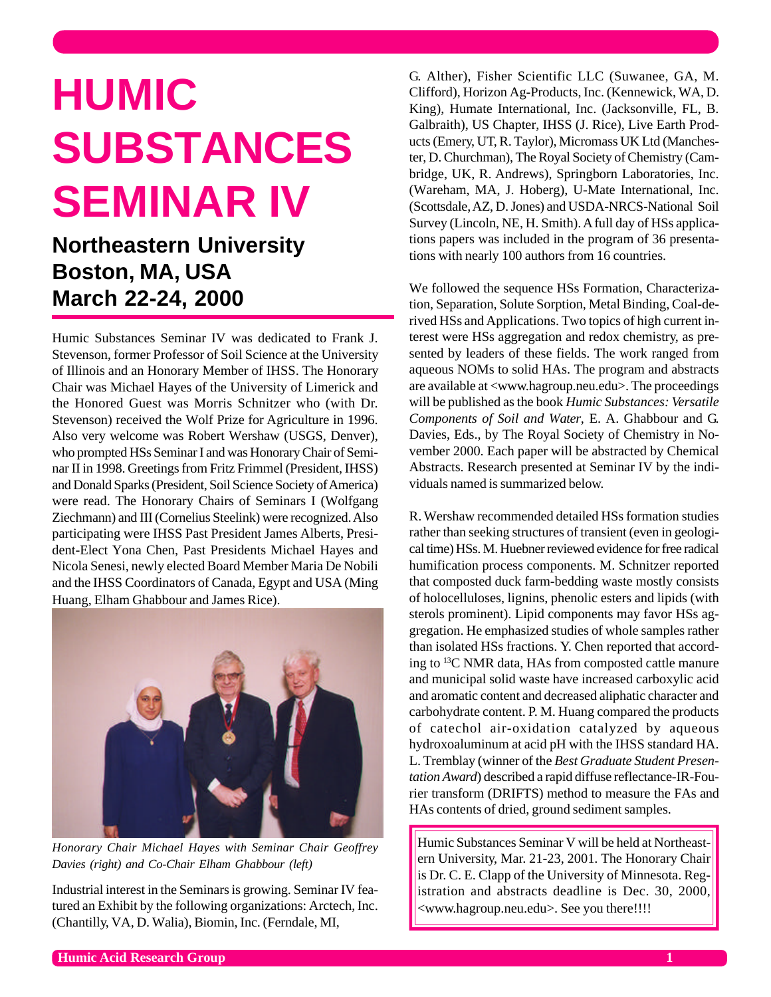## **HUMIC SUBSTANCES SEMINAR IV**

**Northeastern University Boston, MA, USA March 22-24, 2000**

0

Humic Substances Seminar IV was dedicated to Frank J. Stevenson, former Professor of Soil Science at the University of Illinois and an Honorary Member of IHSS. The Honorary Chair was Michael Hayes of the University of Limerick and the Honored Guest was Morris Schnitzer who (with Dr. Stevenson) received the Wolf Prize for Agriculture in 1996. Also very welcome was Robert Wershaw (USGS, Denver), who prompted HSs Seminar I and was Honorary Chair of Seminar II in 1998. Greetings from Fritz Frimmel (President, IHSS) and Donald Sparks (President, Soil Science Society of America) were read. The Honorary Chairs of Seminars I (Wolfgang Ziechmann) and III (Cornelius Steelink) were recognized. Also participating were IHSS Past President James Alberts, President-Elect Yona Chen, Past Presidents Michael Hayes and Nicola Senesi, newly elected Board Member Maria De Nobili and the IHSS Coordinators of Canada, Egypt and USA (Ming Huang, Elham Ghabbour and James Rice).



*Honorary Chair Michael Hayes with Seminar Chair Geoffrey Davies (right) and Co-Chair Elham Ghabbour (left)*

Industrial interest in the Seminars is growing. Seminar IV featured an Exhibit by the following organizations: Arctech, Inc. (Chantilly, VA, D. Walia), Biomin, Inc. (Ferndale, MI,

G. Alther), Fisher Scientific LLC (Suwanee, GA, M. Clifford), Horizon Ag-Products, Inc. (Kennewick, WA, D. King), Humate International, Inc. (Jacksonville, FL, B. Galbraith), US Chapter, IHSS (J. Rice), Live Earth Products (Emery, UT, R. Taylor), Micromass UK Ltd (Manchester, D. Churchman), The Royal Society of Chemistry (Cambridge, UK, R. Andrews), Springborn Laboratories, Inc. (Wareham, MA, J. Hoberg), U-Mate International, Inc. (Scottsdale, AZ, D. Jones) and USDA-NRCS-National Soil Survey (Lincoln, NE, H. Smith). A full day of HSs applications papers was included in the program of 36 presentations with nearly 100 authors from 16 countries.

We followed the sequence HSs Formation, Characterization, Separation, Solute Sorption, Metal Binding, Coal-derived HSs and Applications. Two topics of high current interest were HSs aggregation and redox chemistry, as presented by leaders of these fields. The work ranged from aqueous NOMs to solid HAs. The program and abstracts are available at <www.hagroup.neu.edu>. The proceedings will be published as the book *Humic Substances: Versatile Components of Soil and Water*, E. A. Ghabbour and G. Davies, Eds., by The Royal Society of Chemistry in November 2000. Each paper will be abstracted by Chemical Abstracts. Research presented at Seminar IV by the individuals named is summarized below.

R. Wershaw recommended detailed HSs formation studies rather than seeking structures of transient (even in geological time) HSs. M. Huebner reviewed evidence for free radical humification process components. M. Schnitzer reported that composted duck farm-bedding waste mostly consists of holocelluloses, lignins, phenolic esters and lipids (with sterols prominent). Lipid components may favor HSs aggregation. He emphasized studies of whole samples rather than isolated HSs fractions. Y. Chen reported that according to 13C NMR data, HAs from composted cattle manure and municipal solid waste have increased carboxylic acid and aromatic content and decreased aliphatic character and carbohydrate content. P. M. Huang compared the products of catechol air-oxidation catalyzed by aqueous hydroxoaluminum at acid pH with the IHSS standard HA. L. Tremblay (winner of the *Best Graduate Student Presentation Award*) described a rapid diffuse reflectance-IR-Fourier transform (DRIFTS) method to measure the FAs and HAs contents of dried, ground sediment samples.

Humic Substances Seminar V will be held at Northeastern University, Mar. 21-23, 2001. The Honorary Chair is Dr. C. E. Clapp of the University of Minnesota. Registration and abstracts deadline is Dec. 30, 2000, <www.hagroup.neu.edu>. See you there!!!!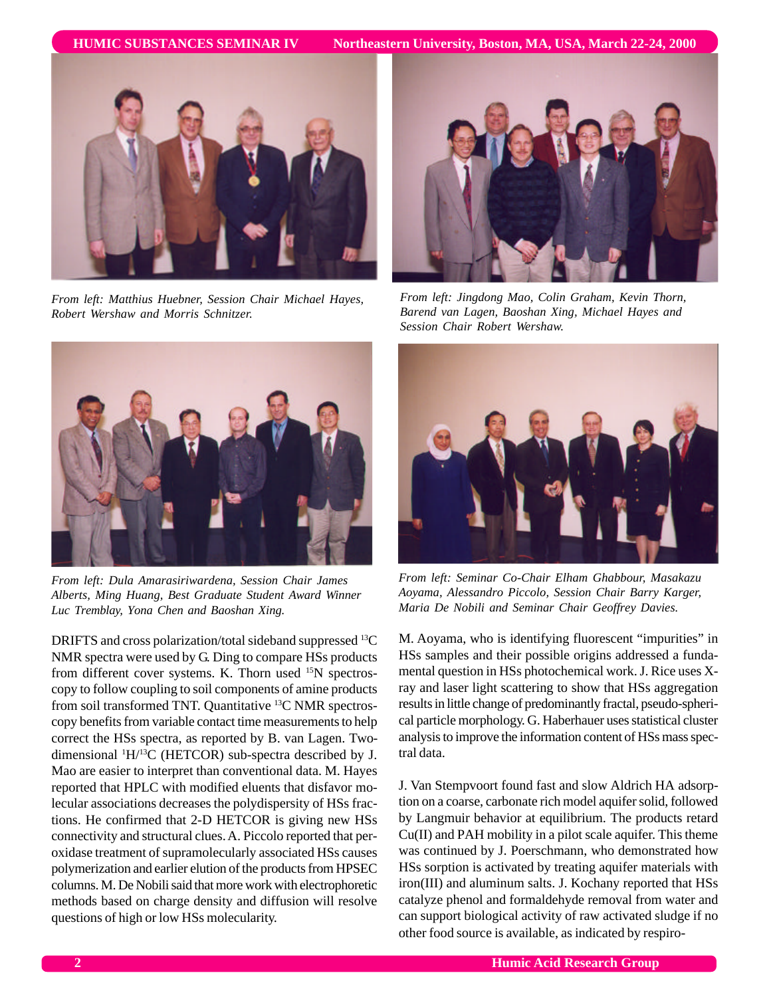

*From left: Matthius Huebner, Session Chair Michael Hayes, Robert Wershaw and Morris Schnitzer.*



*From left: Jingdong Mao, Colin Graham, Kevin Thorn, Barend van Lagen, Baoshan Xing, Michael Hayes and Session Chair Robert Wershaw.*



*From left: Dula Amarasiriwardena, Session Chair James Alberts, Ming Huang, Best Graduate Student Award Winner Luc Tremblay, Yona Chen and Baoshan Xing.*

DRIFTS and cross polarization/total sideband suppressed <sup>13</sup>C NMR spectra were used by G. Ding to compare HSs products from different cover systems. K. Thorn used <sup>15</sup>N spectroscopy to follow coupling to soil components of amine products from soil transformed TNT. Quantitative 13C NMR spectroscopy benefits from variable contact time measurements to help correct the HSs spectra, as reported by B. van Lagen. Twodimensional 1H/13C (HETCOR) sub-spectra described by J. Mao are easier to interpret than conventional data. M. Hayes reported that HPLC with modified eluents that disfavor molecular associations decreases the polydispersity of HSs fractions. He confirmed that 2-D HETCOR is giving new HSs connectivity and structural clues. A. Piccolo reported that peroxidase treatment of supramolecularly associated HSs causes polymerization and earlier elution of the products from HPSEC columns. M. De Nobili said that more work with electrophoretic methods based on charge density and diffusion will resolve questions of high or low HSs molecularity.



*From left: Seminar Co-Chair Elham Ghabbour, Masakazu Aoyama, Alessandro Piccolo, Session Chair Barry Karger, Maria De Nobili and Seminar Chair Geoffrey Davies.*

M. Aoyama, who is identifying fluorescent "impurities" in HSs samples and their possible origins addressed a fundamental question in HSs photochemical work. J. Rice uses Xray and laser light scattering to show that HSs aggregation results in little change of predominantly fractal, pseudo-spherical particle morphology. G. Haberhauer uses statistical cluster analysis to improve the information content of HSs mass spectral data.

J. Van Stempvoort found fast and slow Aldrich HA adsorption on a coarse, carbonate rich model aquifer solid, followed by Langmuir behavior at equilibrium. The products retard Cu(II) and PAH mobility in a pilot scale aquifer. This theme was continued by J. Poerschmann, who demonstrated how HSs sorption is activated by treating aquifer materials with iron(III) and aluminum salts. J. Kochany reported that HSs catalyze phenol and formaldehyde removal from water and can support biological activity of raw activated sludge if no other food source is available, as indicated by respiro-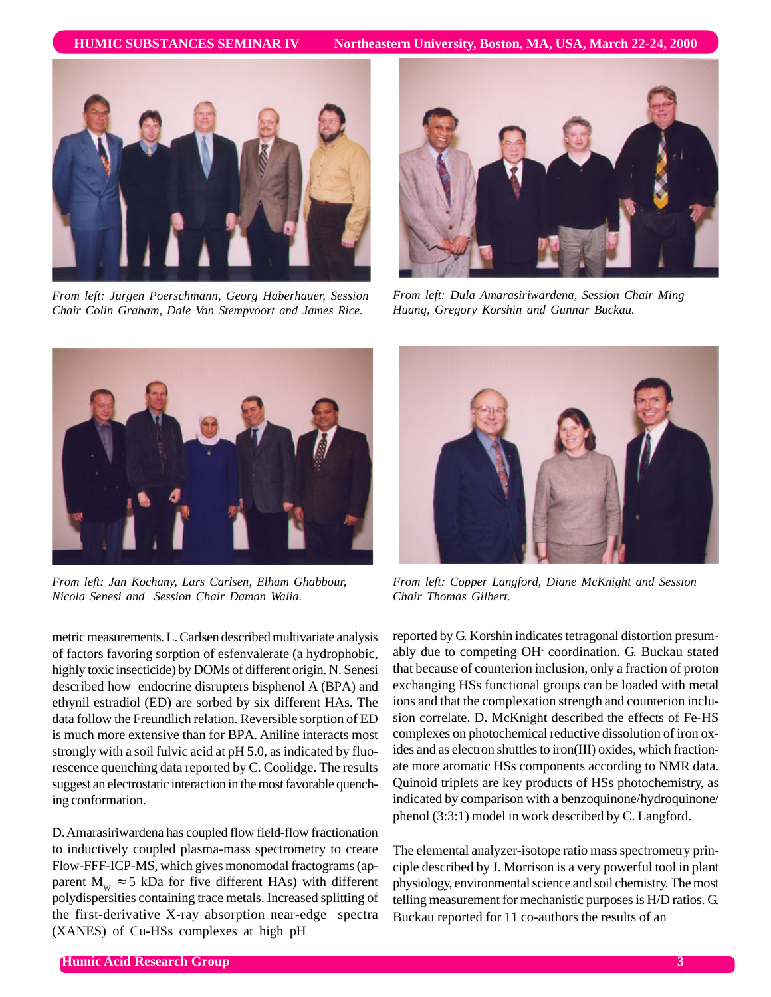

*From left: Jurgen Poerschmann, Georg Haberhauer, Session Chair Colin Graham, Dale Van Stempvoort and James Rice.*



*From left: Dula Amarasiriwardena, Session Chair Ming Huang, Gregory Korshin and Gunnar Buckau.*



*From left: Jan Kochany, Lars Carlsen, Elham Ghabbour, Nicola Senesi and Session Chair Daman Walia.*

metric measurements. L. Carlsen described multivariate analysis of factors favoring sorption of esfenvalerate (a hydrophobic, highly toxic insecticide) by DOMs of different origin. N. Senesi described how endocrine disrupters bisphenol A (BPA) and ethynil estradiol (ED) are sorbed by six different HAs. The data follow the Freundlich relation. Reversible sorption of ED is much more extensive than for BPA. Aniline interacts most strongly with a soil fulvic acid at pH 5.0, as indicated by fluorescence quenching data reported by C. Coolidge. The results suggest an electrostatic interaction in the most favorable quenching conformation.

D. Amarasiriwardena has coupled flow field-flow fractionation to inductively coupled plasma-mass spectrometry to create Flow-FFF-ICP-MS, which gives monomodal fractograms (apparent  $M_w \approx 5$  kDa for five different HAs) with different polydispersities containing trace metals. Increased splitting of the first-derivative X-ray absorption near-edge spectra (XANES) of Cu-HSs complexes at high pH



*From left: Copper Langford, Diane McKnight and Session Chair Thomas Gilbert.*

reported by G. Korshin indicates tetragonal distortion presumably due to competing OH- coordination. G. Buckau stated that because of counterion inclusion, only a fraction of proton exchanging HSs functional groups can be loaded with metal ions and that the complexation strength and counterion inclusion correlate. D. McKnight described the effects of Fe-HS complexes on photochemical reductive dissolution of iron oxides and as electron shuttles to iron(III) oxides, which fractionate more aromatic HSs components according to NMR data. Quinoid triplets are key products of HSs photochemistry, as indicated by comparison with a benzoquinone/hydroquinone/ phenol (3:3:1) model in work described by C. Langford.

The elemental analyzer-isotope ratio mass spectrometry principle described by J. Morrison is a very powerful tool in plant physiology, environmental science and soil chemistry. The most telling measurement for mechanistic purposes is H/D ratios. G. Buckau reported for 11 co-authors the results of an